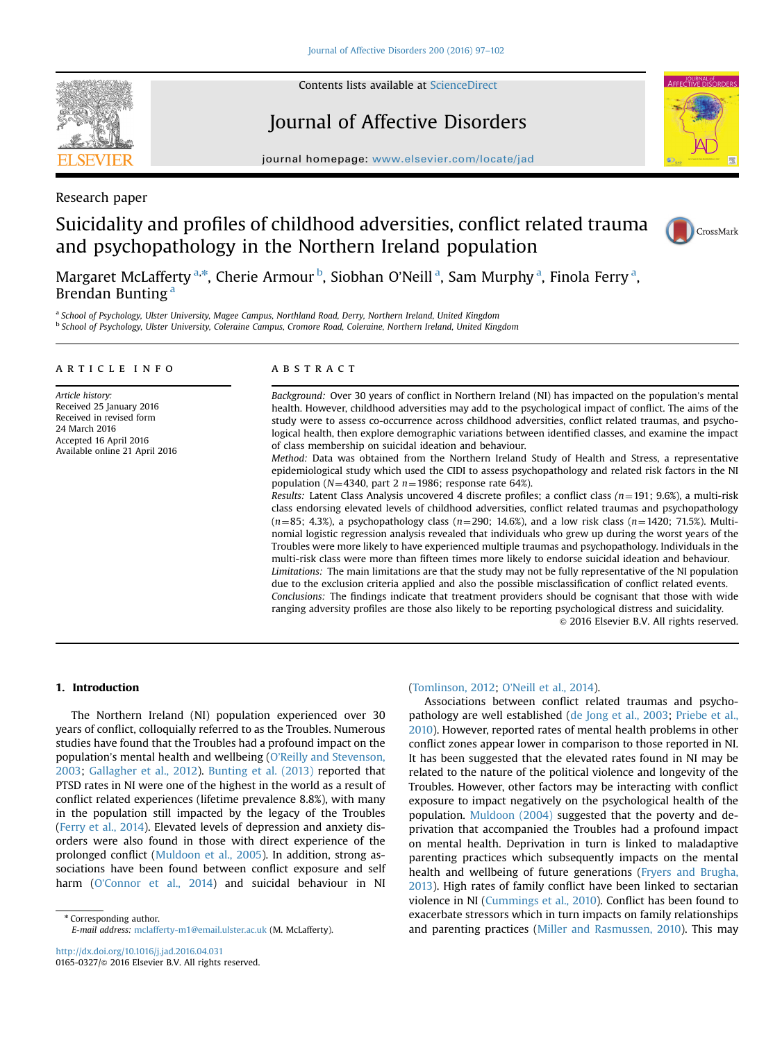

Contents lists available at [ScienceDirect](www.sciencedirect.com/science/journal/01650327)

# Journal of Affective Disorders



journal homepage: <www.elsevier.com/locate/jad>

# Research paper

# Suicidality and profiles of childhood adversities, conflict related trauma and psychopathology in the Northern Ireland population



Margaret McLafferty <sup>a,\*</sup>, Cherie Armour <sup>b</sup>, Siobhan O'Neill <sup>a</sup>, Sam Murphy <sup>a</sup>, Finola Ferry <sup>a</sup>, Brendan Bunting<sup>a</sup>

a School of Psychology, Ulster University, Magee Campus, Northland Road, Derry, Northern Ireland, United Kingdom <sup>b</sup> School of Psychology, Ulster University, Coleraine Campus, Cromore Road, Coleraine, Northern Ireland, United Kingdom

# article info

Article history: Received 25 January 2016 Received in revised form 24 March 2016 Accepted 16 April 2016 Available online 21 April 2016

# **ABSTRACT**

Background: Over 30 years of conflict in Northern Ireland (NI) has impacted on the population's mental health. However, childhood adversities may add to the psychological impact of conflict. The aims of the study were to assess co-occurrence across childhood adversities, conflict related traumas, and psychological health, then explore demographic variations between identified classes, and examine the impact of class membership on suicidal ideation and behaviour.

Method: Data was obtained from the Northern Ireland Study of Health and Stress, a representative epidemiological study which used the CIDI to assess psychopathology and related risk factors in the NI population ( $N=4340$ , part 2 n = 1986; response rate 64%).

Results: Latent Class Analysis uncovered 4 discrete profiles; a conflict class ( $n=191$ ; 9.6%), a multi-risk class endorsing elevated levels of childhood adversities, conflict related traumas and psychopathology ( $n=85$ ; 4.3%), a psychopathology class ( $n=290$ ; 14.6%), and a low risk class ( $n=1420$ ; 71.5%). Multinomial logistic regression analysis revealed that individuals who grew up during the worst years of the Troubles were more likely to have experienced multiple traumas and psychopathology. Individuals in the multi-risk class were more than fifteen times more likely to endorse suicidal ideation and behaviour. Limitations: The main limitations are that the study may not be fully representative of the NI population due to the exclusion criteria applied and also the possible misclassification of conflict related events. Conclusions: The findings indicate that treatment providers should be cognisant that those with wide ranging adversity profiles are those also likely to be reporting psychological distress and suicidality.  $\odot$  2016 Elsevier B.V. All rights reserved.

# 1. Introduction

The Northern Ireland (NI) population experienced over 30 years of conflict, colloquially referred to as the Troubles. Numerous studies have found that the Troubles had a profound impact on the population's mental health and wellbeing (O'[Reilly and Stevenson,](#page-5-0) [2003;](#page-5-0) [Gallagher et al., 2012\)](#page-5-0). [Bunting et al. \(2013\)](#page-4-0) reported that PTSD rates in NI were one of the highest in the world as a result of conflict related experiences (lifetime prevalence 8.8%), with many in the population still impacted by the legacy of the Troubles ([Ferry et al., 2014\)](#page-5-0). Elevated levels of depression and anxiety disorders were also found in those with direct experience of the prolonged conflict ([Muldoon et al., 2005\)](#page-5-0). In addition, strong associations have been found between conflict exposure and self harm (O'[Connor et al., 2014](#page-5-0)) and suicidal behaviour in NI

\* Corresponding author. E-mail address: [mclafferty-m1@email.ulster.ac.uk](mailto:mclafferty-m1@email.ulster.ac.uk) (M. McLafferty).

### ([Tomlinson, 2012](#page-5-0); O'[Neill et al., 2014](#page-5-0)).

Associations between conflict related traumas and psychopathology are well established ([de Jong et al., 2003](#page-4-0); [Priebe et al.,](#page-5-0) [2010\)](#page-5-0). However, reported rates of mental health problems in other conflict zones appear lower in comparison to those reported in NI. It has been suggested that the elevated rates found in NI may be related to the nature of the political violence and longevity of the Troubles. However, other factors may be interacting with conflict exposure to impact negatively on the psychological health of the population. [Muldoon \(2004\)](#page-5-0) suggested that the poverty and deprivation that accompanied the Troubles had a profound impact on mental health. Deprivation in turn is linked to maladaptive parenting practices which subsequently impacts on the mental health and wellbeing of future generations ([Fryers and Brugha,](#page-5-0) [2013\)](#page-5-0). High rates of family conflict have been linked to sectarian violence in NI ([Cummings et al., 2010](#page-4-0)). Conflict has been found to exacerbate stressors which in turn impacts on family relationships and parenting practices [\(Miller and Rasmussen, 2010\)](#page-5-0). This may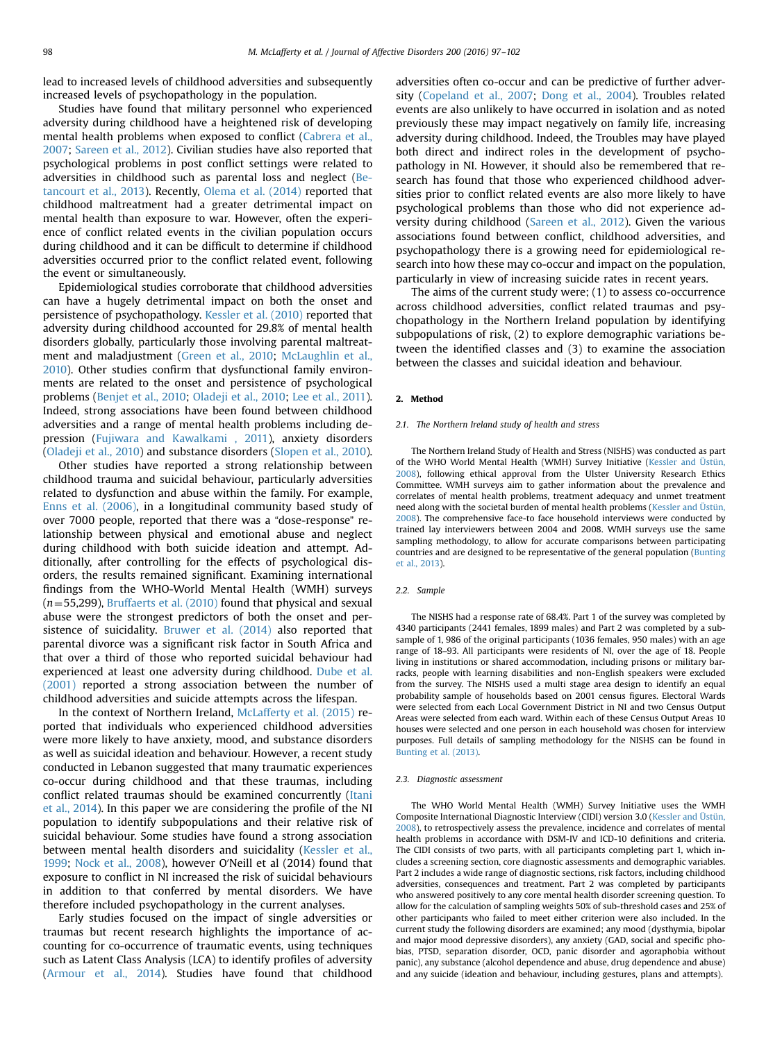lead to increased levels of childhood adversities and subsequently increased levels of psychopathology in the population.

Studies have found that military personnel who experienced adversity during childhood have a heightened risk of developing mental health problems when exposed to conflict ([Cabrera et al.,](#page-4-0) [2007;](#page-4-0) [Sareen et al., 2012](#page-5-0)). Civilian studies have also reported that psychological problems in post conflict settings were related to adversities in childhood such as parental loss and neglect [\(Be](#page-4-0)[tancourt et al., 2013](#page-4-0)). Recently, [Olema et al. \(2014\)](#page-5-0) reported that childhood maltreatment had a greater detrimental impact on mental health than exposure to war. However, often the experience of conflict related events in the civilian population occurs during childhood and it can be difficult to determine if childhood adversities occurred prior to the conflict related event, following the event or simultaneously.

Epidemiological studies corroborate that childhood adversities can have a hugely detrimental impact on both the onset and persistence of psychopathology. [Kessler et al. \(2010\)](#page-5-0) reported that adversity during childhood accounted for 29.8% of mental health disorders globally, particularly those involving parental maltreatment and maladjustment [\(Green et al., 2010](#page-5-0); [McLaughlin et al.,](#page-5-0) [2010\)](#page-5-0). Other studies confirm that dysfunctional family environments are related to the onset and persistence of psychological problems ([Benjet et al., 2010;](#page-4-0) [Oladeji et al., 2010](#page-5-0); [Lee et al., 2011\)](#page-5-0). Indeed, strong associations have been found between childhood adversities and a range of mental health problems including depression [\(Fujiwara and Kawalkami , 2011](#page-5-0)), anxiety disorders ([Oladeji et al., 2010](#page-5-0)) and substance disorders [\(Slopen et al., 2010\)](#page-5-0).

Other studies have reported a strong relationship between childhood trauma and suicidal behaviour, particularly adversities related to dysfunction and abuse within the family. For example, [Enns et al. \(2006\),](#page-5-0) in a longitudinal community based study of over 7000 people, reported that there was a "dose-response" relationship between physical and emotional abuse and neglect during childhood with both suicide ideation and attempt. Additionally, after controlling for the effects of psychological disorders, the results remained significant. Examining international findings from the WHO-World Mental Health (WMH) surveys  $(n=55,299)$ , [Bruffaerts et al. \(2010\)](#page-4-0) found that physical and sexual abuse were the strongest predictors of both the onset and persistence of suicidality. [Bruwer et al. \(2014\)](#page-4-0) also reported that parental divorce was a significant risk factor in South Africa and that over a third of those who reported suicidal behaviour had experienced at least one adversity during childhood. [Dube et al.](#page-5-0) [\(2001\)](#page-5-0) reported a strong association between the number of childhood adversities and suicide attempts across the lifespan.

In the context of Northern Ireland, [McLafferty et al. \(2015\)](#page-5-0) reported that individuals who experienced childhood adversities were more likely to have anxiety, mood, and substance disorders as well as suicidal ideation and behaviour. However, a recent study conducted in Lebanon suggested that many traumatic experiences co-occur during childhood and that these traumas, including conflict related traumas should be examined concurrently ([Itani](#page-5-0) [et al., 2014\)](#page-5-0). In this paper we are considering the profile of the NI population to identify subpopulations and their relative risk of suicidal behaviour. Some studies have found a strong association between mental health disorders and suicidality [\(Kessler et al.,](#page-5-0) [1999](#page-5-0); [Nock et al., 2008\)](#page-5-0), however O′Neill et al (2014) found that exposure to conflict in NI increased the risk of suicidal behaviours in addition to that conferred by mental disorders. We have therefore included psychopathology in the current analyses.

Early studies focused on the impact of single adversities or traumas but recent research highlights the importance of accounting for co-occurrence of traumatic events, using techniques such as Latent Class Analysis (LCA) to identify profiles of adversity ([Armour et al., 2014\)](#page-4-0). Studies have found that childhood adversities often co-occur and can be predictive of further adversity [\(Copeland et al., 2007](#page-4-0); [Dong et al., 2004](#page-4-0)). Troubles related events are also unlikely to have occurred in isolation and as noted previously these may impact negatively on family life, increasing adversity during childhood. Indeed, the Troubles may have played both direct and indirect roles in the development of psychopathology in NI. However, it should also be remembered that research has found that those who experienced childhood adversities prior to conflict related events are also more likely to have psychological problems than those who did not experience adversity during childhood ([Sareen et al., 2012\)](#page-5-0). Given the various associations found between conflict, childhood adversities, and psychopathology there is a growing need for epidemiological research into how these may co-occur and impact on the population, particularly in view of increasing suicide rates in recent years.

The aims of the current study were; (1) to assess co-occurrence across childhood adversities, conflict related traumas and psychopathology in the Northern Ireland population by identifying subpopulations of risk, (2) to explore demographic variations between the identified classes and (3) to examine the association between the classes and suicidal ideation and behaviour.

# 2. Method

#### 2.1. The Northern Ireland study of health and stress

The Northern Ireland Study of Health and Stress (NISHS) was conducted as part of the WHO World Mental Health (WMH) Survey Initiative [\(Kessler and Üstün,](#page-5-0) [2008](#page-5-0)), following ethical approval from the Ulster University Research Ethics Committee. WMH surveys aim to gather information about the prevalence and correlates of mental health problems, treatment adequacy and unmet treatment need along with the societal burden of mental health problems ([Kessler and Üstün,](#page-5-0) [2008](#page-5-0)). The comprehensive face-to face household interviews were conducted by trained lay interviewers between 2004 and 2008. WMH surveys use the same sampling methodology, to allow for accurate comparisons between participating countries and are designed to be representative of the general population ([Bunting](#page-4-0) [et al., 2013\)](#page-4-0).

### 2.2. Sample

The NISHS had a response rate of 68.4%. Part 1 of the survey was completed by 4340 participants (2441 females, 1899 males) and Part 2 was completed by a subsample of 1, 986 of the original participants (1036 females, 950 males) with an age range of 18–93. All participants were residents of NI, over the age of 18. People living in institutions or shared accommodation, including prisons or military barracks, people with learning disabilities and non-English speakers were excluded from the survey. The NISHS used a multi stage area design to identify an equal probability sample of households based on 2001 census figures. Electoral Wards were selected from each Local Government District in NI and two Census Output Areas were selected from each ward. Within each of these Census Output Areas 10 houses were selected and one person in each household was chosen for interview purposes. Full details of sampling methodology for the NISHS can be found in [Bunting et al. \(2013\)](#page-4-0).

### 2.3. Diagnostic assessment

The WHO World Mental Health (WMH) Survey Initiative uses the WMH Composite International Diagnostic Interview (CIDI) version 3.0 [\(Kessler and Üstün,](#page-5-0) [2008](#page-5-0)), to retrospectively assess the prevalence, incidence and correlates of mental health problems in accordance with DSM-IV and ICD-10 definitions and criteria. The CIDI consists of two parts, with all participants completing part 1, which includes a screening section, core diagnostic assessments and demographic variables. Part 2 includes a wide range of diagnostic sections, risk factors, including childhood adversities, consequences and treatment. Part 2 was completed by participants who answered positively to any core mental health disorder screening question. To allow for the calculation of sampling weights 50% of sub-threshold cases and 25% of other participants who failed to meet either criterion were also included. In the current study the following disorders are examined; any mood (dysthymia, bipolar and major mood depressive disorders), any anxiety (GAD, social and specific phobias, PTSD, separation disorder, OCD, panic disorder and agoraphobia without panic), any substance (alcohol dependence and abuse, drug dependence and abuse) and any suicide (ideation and behaviour, including gestures, plans and attempts).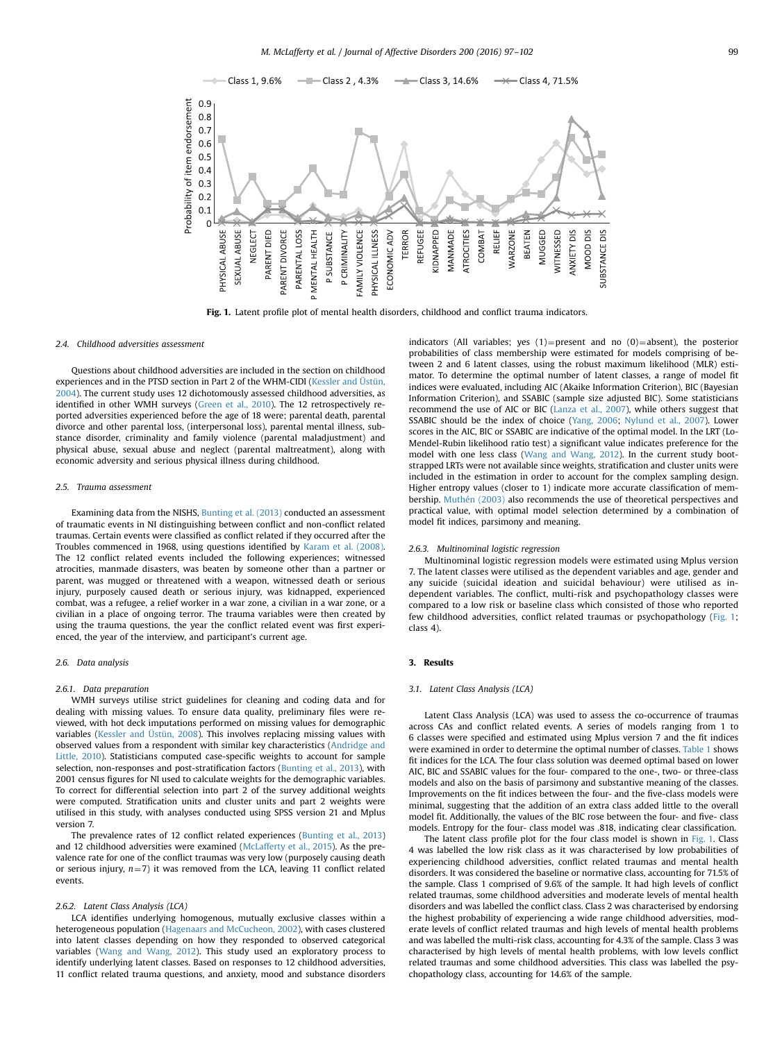

Fig. 1. Latent profile plot of mental health disorders, childhood and conflict trauma indicators.

### 2.4 Childhood adversities assessment

Questions about childhood adversities are included in the section on childhood experiences and in the PTSD section in Part 2 of the WHM-CIDI ([Kessler and Üstün,](#page-5-0) [2004\)](#page-5-0). The current study uses 12 dichotomously assessed childhood adversities, as identified in other WMH surveys [\(Green et al., 2010](#page-5-0)). The 12 retrospectively reported adversities experienced before the age of 18 were; parental death, parental divorce and other parental loss, (interpersonal loss), parental mental illness, substance disorder, criminality and family violence (parental maladjustment) and physical abuse, sexual abuse and neglect (parental maltreatment), along with economic adversity and serious physical illness during childhood.

#### 2.5. Trauma assessment

Examining data from the NISHS, [Bunting et al. \(2013\)](#page-4-0) conducted an assessment of traumatic events in NI distinguishing between conflict and non-conflict related traumas. Certain events were classified as conflict related if they occurred after the Troubles commenced in 1968, using questions identified by [Karam et al. \(2008\)](#page-5-0). The 12 conflict related events included the following experiences; witnessed atrocities, manmade disasters, was beaten by someone other than a partner or parent, was mugged or threatened with a weapon, witnessed death or serious injury, purposely caused death or serious injury, was kidnapped, experienced combat, was a refugee, a relief worker in a war zone, a civilian in a war zone, or a civilian in a place of ongoing terror. The trauma variables were then created by using the trauma questions, the year the conflict related event was first experienced, the year of the interview, and participant's current age.

## 2.6. Data analysis

#### 2.6.1. Data preparation

WMH surveys utilise strict guidelines for cleaning and coding data and for dealing with missing values. To ensure data quality, preliminary files were reviewed, with hot deck imputations performed on missing values for demographic variables ([Kessler and Üstün, 2008\)](#page-5-0). This involves replacing missing values with observed values from a respondent with similar key characteristics [\(Andridge and](#page-4-0) [Little, 2010](#page-4-0)). Statisticians computed case-specific weights to account for sample selection, non-responses and post-stratification factors [\(Bunting et al., 2013](#page-4-0)), with 2001 census figures for NI used to calculate weights for the demographic variables. To correct for differential selection into part 2 of the survey additional weights were computed. Stratification units and cluster units and part 2 weights were utilised in this study, with analyses conducted using SPSS version 21 and Mplus version 7.

The prevalence rates of 12 conflict related experiences [\(Bunting et al., 2013](#page-4-0)) and 12 childhood adversities were examined [\(McLafferty et al., 2015\)](#page-5-0). As the prevalence rate for one of the conflict traumas was very low (purposely causing death or serious injury,  $n=7$ ) it was removed from the LCA, leaving 11 conflict related events.

### 2.6.2. Latent Class Analysis (LCA)

LCA identifies underlying homogenous, mutually exclusive classes within a heterogeneous population [\(Hagenaars and McCucheon, 2002\)](#page-5-0), with cases clustered into latent classes depending on how they responded to observed categorical variables ([Wang and Wang, 2012](#page-5-0)). This study used an exploratory process to identify underlying latent classes. Based on responses to 12 childhood adversities, 11 conflict related trauma questions, and anxiety, mood and substance disorders indicators (All variables; yes  $(1)$ =present and no  $(0)$ =absent), the posterior probabilities of class membership were estimated for models comprising of between 2 and 6 latent classes, using the robust maximum likelihood (MLR) estimator. To determine the optimal number of latent classes, a range of model fit indices were evaluated, including AIC (Akaike Information Criterion), BIC (Bayesian Information Criterion), and SSABIC (sample size adjusted BIC). Some statisticians recommend the use of AIC or BIC ([Lanza et al., 2007\)](#page-5-0), while others suggest that SSABIC should be the index of choice ([Yang, 2006;](#page-5-0) [Nylund et al., 2007\)](#page-5-0). Lower scores in the AIC, BIC or SSABIC are indicative of the optimal model. In the LRT (Lo-Mendel-Rubin likelihood ratio test) a significant value indicates preference for the model with one less class [\(Wang and Wang, 2012\)](#page-5-0). In the current study bootstrapped LRTs were not available since weights, stratification and cluster units were included in the estimation in order to account for the complex sampling design. Higher entropy values (closer to 1) indicate more accurate classification of membership. [Muthén \(2003\)](#page-5-0) also recommends the use of theoretical perspectives and practical value, with optimal model selection determined by a combination of model fit indices, parsimony and meaning.

#### 2.6.3. Multinominal logistic regression

Multinominal logistic regression models were estimated using Mplus version 7. The latent classes were utilised as the dependent variables and age, gender and any suicide (suicidal ideation and suicidal behaviour) were utilised as independent variables. The conflict, multi-risk and psychopathology classes were compared to a low risk or baseline class which consisted of those who reported few childhood adversities, conflict related traumas or psychopathology (Fig. 1; class 4).

# 3. Results

#### 3.1. Latent Class Analysis (LCA)

Latent Class Analysis (LCA) was used to assess the co-occurrence of traumas across CAs and conflict related events. A series of models ranging from 1 to 6 classes were specified and estimated using Mplus version 7 and the fit indices were examined in order to determine the optimal number of classes. [Table 1](#page-3-0) shows fit indices for the LCA. The four class solution was deemed optimal based on lower AIC, BIC and SSABIC values for the four- compared to the one-, two- or three-class models and also on the basis of parsimony and substantive meaning of the classes. Improvements on the fit indices between the four- and the five-class models were minimal, suggesting that the addition of an extra class added little to the overall model fit. Additionally, the values of the BIC rose between the four- and five- class models. Entropy for the four- class model was .818, indicating clear classification.

The latent class profile plot for the four class model is shown in Fig. 1. Class 4 was labelled the low risk class as it was characterised by low probabilities of experiencing childhood adversities, conflict related traumas and mental health disorders. It was considered the baseline or normative class, accounting for 71.5% of the sample. Class 1 comprised of 9.6% of the sample. It had high levels of conflict related traumas, some childhood adversities and moderate levels of mental health disorders and was labelled the conflict class. Class 2 was characterised by endorsing the highest probability of experiencing a wide range childhood adversities, moderate levels of conflict related traumas and high levels of mental health problems and was labelled the multi-risk class, accounting for 4.3% of the sample. Class 3 was characterised by high levels of mental health problems, with low levels conflict related traumas and some childhood adversities. This class was labelled the psychopathology class, accounting for 14.6% of the sample.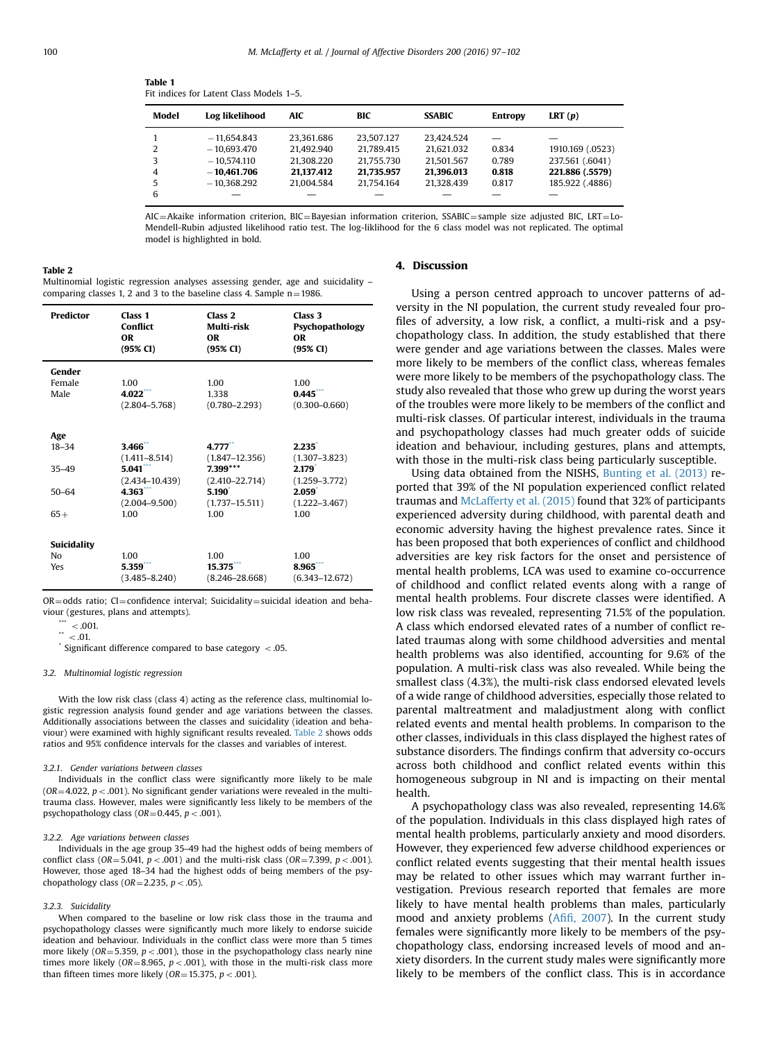| FIL INDICES TOT LATENT CLASS IVIOUSES 1-5. |                |            |            |               |                |                  |  |
|--------------------------------------------|----------------|------------|------------|---------------|----------------|------------------|--|
| Model                                      | Log likelihood | AIC        | BIC        | <b>SSABIC</b> | <b>Entropy</b> | LRT $(p)$        |  |
|                                            | $-11.654.843$  | 23.361.686 | 23.507.127 | 23.424.524    |                |                  |  |
| 2                                          | $-10.693.470$  | 21.492.940 | 21.789.415 | 21.621.032    | 0.834          | 1910.169 (.0523) |  |
| 3                                          | $-10.574.110$  | 21.308.220 | 21.755.730 | 21.501.567    | 0.789          | 237.561 (.6041)  |  |
| 4                                          | $-10.461.706$  | 21.137.412 | 21.735.957 | 21.396.013    | 0.818          | 221.886 (.5579)  |  |
| 5                                          | $-10.368.292$  | 21.004.584 | 21.754.164 | 21.328.439    | 0.817          | 185.922 (.4886)  |  |
| 6                                          |                |            |            |               |                |                  |  |

<span id="page-3-0"></span>Table 1 Fit indices for Latent Class Models 1–5.

AIC=Akaike information criterion, BIC=Bayesian information criterion, SSABIC=sample size adjusted BIC, LRT=Lo-Mendell-Rubin adjusted likelihood ratio test. The log-liklihood for the 6 class model was not replicated. The optimal model is highlighted in bold.

Table 2

Multinomial logistic regression analyses assessing gender, age and suicidality – comparing classes 1, 2 and 3 to the baseline class 4. Sample  $n = 1986$ .

| <b>Predictor</b>  | Class <sub>1</sub><br>Conflict<br><b>OR</b><br>(95% CI) | Class <sub>2</sub><br>Multi-risk<br>0R<br>$(95\% \text{ CI})$ | Class <sub>3</sub><br>Psychopathology<br><b>OR</b><br>$(95\% \text{ CI})$ |
|-------------------|---------------------------------------------------------|---------------------------------------------------------------|---------------------------------------------------------------------------|
| Gender            |                                                         |                                                               |                                                                           |
| Female            | 1.00                                                    | 1.00                                                          | 1.00                                                                      |
| Male              | 4.022                                                   | 1.338                                                         | 0.445                                                                     |
|                   | $(2.804 - 5.768)$                                       | $(0.780 - 2.293)$                                             | $(0.300 - 0.660)$                                                         |
| Age               |                                                         |                                                               |                                                                           |
| $18 - 34$         | 3.466                                                   | 4.777                                                         | $2.235$ <sup>*</sup>                                                      |
|                   | $(1.411 - 8.514)$                                       | $(1.847 - 12.356)$                                            | $(1.307 - 3.823)$                                                         |
| $35 - 49$         | 5.041                                                   | 7.399***                                                      | 2.179                                                                     |
|                   | $(2.434 - 10.439)$                                      | $(2.410 - 22.714)$                                            | $(1.259 - 3.772)$                                                         |
| $50 - 64$         | 4.363                                                   | 5.190                                                         | 2.059                                                                     |
|                   | $(2.004 - 9.500)$                                       | $(1.737 - 15.511)$                                            | $(1.222 - 3.467)$                                                         |
| $65+$             | 1.00                                                    | 1.00                                                          | 1.00                                                                      |
|                   |                                                         |                                                               |                                                                           |
| Suicidality<br>No | 1.00                                                    | 1.00                                                          | 1.00                                                                      |
| Yes               | 5.359                                                   | 15.375                                                        | 8.965                                                                     |
|                   | $(3.485 - 8.240)$                                       | $(8.246 - 28.668)$                                            | $(6.343 - 12.672)$                                                        |
|                   |                                                         |                                                               |                                                                           |

 $OR = odds$  ratio;  $CI = confidence$  interval; Suicidality = suicidal ideation and behaviour (gestures, plans and attempts).

 $< 0.01$ 

 $\cdot$   $*$   $< 01$ .

 $\degree$  Significant difference compared to base category < .05.

### 3.2. Multinomial logistic regression

With the low risk class (class 4) acting as the reference class, multinomial logistic regression analysis found gender and age variations between the classes. Additionally associations between the classes and suicidality (ideation and behaviour) were examined with highly significant results revealed. Table 2 shows odds ratios and 95% confidence intervals for the classes and variables of interest.

#### 3.2.1. Gender variations between classes

Individuals in the conflict class were significantly more likely to be male ( $OR=4.022$ ,  $p < .001$ ). No significant gender variations were revealed in the multitrauma class. However, males were significantly less likely to be members of the psychopathology class ( $OR=0.445$ ,  $p < .001$ ).

#### 3.2.2. Age variations between classes

Individuals in the age group 35–49 had the highest odds of being members of conflict class ( $OR = 5.041$ ,  $p < .001$ ) and the multi-risk class ( $OR = 7.399$ ,  $p < .001$ ). However, those aged 18–34 had the highest odds of being members of the psychopathology class ( $OR = 2.235$ ,  $p < .05$ ).

### 3.2.3. Suicidality

When compared to the baseline or low risk class those in the trauma and psychopathology classes were significantly much more likely to endorse suicide ideation and behaviour. Individuals in the conflict class were more than 5 times more likely ( $OR = 5.359$ ,  $p < .001$ ), those in the psychopathology class nearly nine times more likely (OR=8.965,  $p < .001$ ), with those in the multi-risk class more than fifteen times more likely ( $OR = 15.375$ ,  $p < .001$ ).

# 4. Discussion

Using a person centred approach to uncover patterns of adversity in the NI population, the current study revealed four profiles of adversity, a low risk, a conflict, a multi-risk and a psychopathology class. In addition, the study established that there were gender and age variations between the classes. Males were more likely to be members of the conflict class, whereas females were more likely to be members of the psychopathology class. The study also revealed that those who grew up during the worst years of the troubles were more likely to be members of the conflict and multi-risk classes. Of particular interest, individuals in the trauma and psychopathology classes had much greater odds of suicide ideation and behaviour, including gestures, plans and attempts, with those in the multi-risk class being particularly susceptible.

Using data obtained from the NISHS, [Bunting et al. \(2013\)](#page-4-0) reported that 39% of the NI population experienced conflict related traumas and [McLafferty et al. \(2015\)](#page-5-0) found that 32% of participants experienced adversity during childhood, with parental death and economic adversity having the highest prevalence rates. Since it has been proposed that both experiences of conflict and childhood adversities are key risk factors for the onset and persistence of mental health problems, LCA was used to examine co-occurrence of childhood and conflict related events along with a range of mental health problems. Four discrete classes were identified. A low risk class was revealed, representing 71.5% of the population. A class which endorsed elevated rates of a number of conflict related traumas along with some childhood adversities and mental health problems was also identified, accounting for 9.6% of the population. A multi-risk class was also revealed. While being the smallest class (4.3%), the multi-risk class endorsed elevated levels of a wide range of childhood adversities, especially those related to parental maltreatment and maladjustment along with conflict related events and mental health problems. In comparison to the other classes, individuals in this class displayed the highest rates of substance disorders. The findings confirm that adversity co-occurs across both childhood and conflict related events within this homogeneous subgroup in NI and is impacting on their mental health.

A psychopathology class was also revealed, representing 14.6% of the population. Individuals in this class displayed high rates of mental health problems, particularly anxiety and mood disorders. However, they experienced few adverse childhood experiences or conflict related events suggesting that their mental health issues may be related to other issues which may warrant further investigation. Previous research reported that females are more likely to have mental health problems than males, particularly mood and anxiety problems (Afifi[, 2007](#page-4-0)). In the current study females were significantly more likely to be members of the psychopathology class, endorsing increased levels of mood and anxiety disorders. In the current study males were significantly more likely to be members of the conflict class. This is in accordance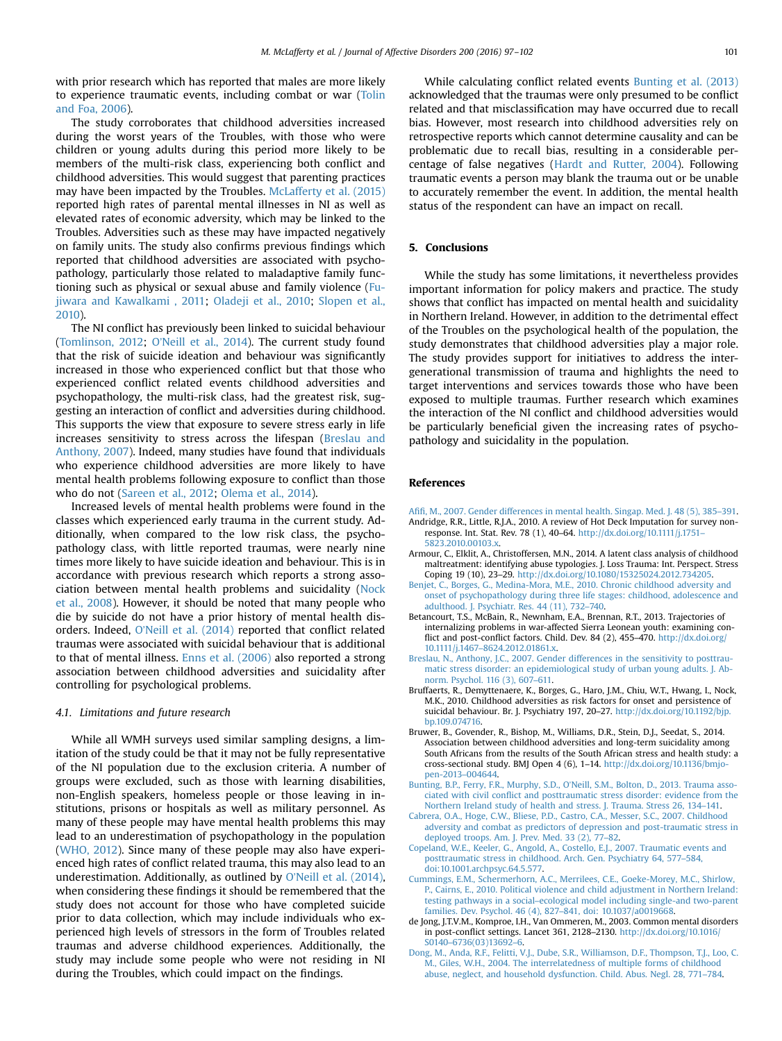<span id="page-4-0"></span>with prior research which has reported that males are more likely to experience traumatic events, including combat or war ([Tolin](#page-5-0) [and Foa, 2006](#page-5-0)).

The study corroborates that childhood adversities increased during the worst years of the Troubles, with those who were children or young adults during this period more likely to be members of the multi-risk class, experiencing both conflict and childhood adversities. This would suggest that parenting practices may have been impacted by the Troubles. [McLafferty et al. \(2015\)](#page-5-0) reported high rates of parental mental illnesses in NI as well as elevated rates of economic adversity, which may be linked to the Troubles. Adversities such as these may have impacted negatively on family units. The study also confirms previous findings which reported that childhood adversities are associated with psychopathology, particularly those related to maladaptive family functioning such as physical or sexual abuse and family violence [\(Fu](#page-5-0)[jiwara and Kawalkami , 2011](#page-5-0); [Oladeji et al., 2010](#page-5-0); [Slopen et al.,](#page-5-0) [2010\)](#page-5-0).

The NI conflict has previously been linked to suicidal behaviour ([Tomlinson, 2012](#page-5-0); O'[Neill et al., 2014\)](#page-5-0). The current study found that the risk of suicide ideation and behaviour was significantly increased in those who experienced conflict but that those who experienced conflict related events childhood adversities and psychopathology, the multi-risk class, had the greatest risk, suggesting an interaction of conflict and adversities during childhood. This supports the view that exposure to severe stress early in life increases sensitivity to stress across the lifespan (Breslau and Anthony, 2007). Indeed, many studies have found that individuals who experience childhood adversities are more likely to have mental health problems following exposure to conflict than those who do not ([Sareen et al., 2012;](#page-5-0) [Olema et al., 2014](#page-5-0)).

Increased levels of mental health problems were found in the classes which experienced early trauma in the current study. Additionally, when compared to the low risk class, the psychopathology class, with little reported traumas, were nearly nine times more likely to have suicide ideation and behaviour. This is in accordance with previous research which reports a strong association between mental health problems and suicidality ([Nock](#page-5-0) [et al., 2008\)](#page-5-0). However, it should be noted that many people who die by suicide do not have a prior history of mental health disorders. Indeed, O'[Neill et al. \(2014\)](#page-5-0) reported that conflict related traumas were associated with suicidal behaviour that is additional to that of mental illness. [Enns et al. \(2006\)](#page-5-0) also reported a strong association between childhood adversities and suicidality after controlling for psychological problems.

### 4.1. Limitations and future research

While all WMH surveys used similar sampling designs, a limitation of the study could be that it may not be fully representative of the NI population due to the exclusion criteria. A number of groups were excluded, such as those with learning disabilities, non-English speakers, homeless people or those leaving in institutions, prisons or hospitals as well as military personnel. As many of these people may have mental health problems this may lead to an underestimation of psychopathology in the population ([WHO, 2012\)](#page-5-0). Since many of these people may also have experienced high rates of conflict related trauma, this may also lead to an underestimation. Additionally, as outlined by O'[Neill et al. \(2014\),](#page-5-0) when considering these findings it should be remembered that the study does not account for those who have completed suicide prior to data collection, which may include individuals who experienced high levels of stressors in the form of Troubles related traumas and adverse childhood experiences. Additionally, the study may include some people who were not residing in NI during the Troubles, which could impact on the findings.

While calculating conflict related events Bunting et al. (2013) acknowledged that the traumas were only presumed to be conflict related and that misclassification may have occurred due to recall bias. However, most research into childhood adversities rely on retrospective reports which cannot determine causality and can be problematic due to recall bias, resulting in a considerable percentage of false negatives [\(Hardt and Rutter, 2004\)](#page-5-0). Following traumatic events a person may blank the trauma out or be unable to accurately remember the event. In addition, the mental health status of the respondent can have an impact on recall.

# 5. Conclusions

While the study has some limitations, it nevertheless provides important information for policy makers and practice. The study shows that conflict has impacted on mental health and suicidality in Northern Ireland. However, in addition to the detrimental effect of the Troubles on the psychological health of the population, the study demonstrates that childhood adversities play a major role. The study provides support for initiatives to address the intergenerational transmission of trauma and highlights the need to target interventions and services towards those who have been exposed to multiple traumas. Further research which examines the interaction of the NI conflict and childhood adversities would be particularly beneficial given the increasing rates of psychopathology and suicidality in the population.

### References

- Afifi[, M., 2007. Gender differences in mental health. Singap. Med. J. 48 \(5\), 385](http://refhub.elsevier.com/S0165-0327(16)30125-2/sbref1)–391. Andridge, R.R., Little, R.J.A., 2010. A review of Hot Deck Imputation for survey non-
- response. Int. Stat. Rev. 78 (1), 40–64. [http://dx.doi.org/10.1111/j.1751](http://dx.doi.org/10.1111/j.17515823.2010.00103.x) [5823.2010.00103.x](http://dx.doi.org/10.1111/j.17515823.2010.00103.x).
- Armour, C., Elklit, A., Christoffersen, M.N., 2014. A latent class analysis of childhood maltreatment: identifying abuse typologies. J. Loss Trauma: Int. Perspect. Stress Coping 19 (10), 23–29. <http://dx.doi.org/10.1080/15325024.2012.734205>.
- [Benjet, C., Borges, G., Medina-Mora, M.E., 2010. Chronic childhood adversity and](http://refhub.elsevier.com/S0165-0327(16)30125-2/sbref4) [onset of psychopathology during three life stages: childhood, adolescence and](http://refhub.elsevier.com/S0165-0327(16)30125-2/sbref4) [adulthood. J. Psychiatr. Res. 44 \(11\), 732](http://refhub.elsevier.com/S0165-0327(16)30125-2/sbref4)–740.
- Betancourt, T.S., McBain, R., Newnham, E.A., Brennan, R.T., 2013. Trajectories of internalizing problems in war-affected Sierra Leonean youth: examining conflict and post-conflict factors. Child. Dev. 84 (2), 455–470. [http://dx.doi.org/](http://dx.doi.org/10.1111/j.14678624.2012.01861.x) 10.1111/j.1467–[8624.2012.01861.x.](http://dx.doi.org/10.1111/j.14678624.2012.01861.x)
- [Breslau, N., Anthony, J.C., 2007. Gender differences in the sensitivity to posttrau](http://refhub.elsevier.com/S0165-0327(16)30125-2/sbref6)[matic stress disorder: an epidemiological study of urban young adults. J. Ab](http://refhub.elsevier.com/S0165-0327(16)30125-2/sbref6)[norm. Psychol. 116 \(3\), 607](http://refhub.elsevier.com/S0165-0327(16)30125-2/sbref6)–611.
- Bruffaerts, R., Demyttenaere, K., Borges, G., Haro, J.M., Chiu, W.T., Hwang, I., Nock, M.K., 2010. Childhood adversities as risk factors for onset and persistence of suicidal behaviour. Br. J. Psychiatry 197, 20–27. [http://dx.doi.org/10.1192/bjp.](http://dx.doi.org/10.1192/bjp.bp.109.074716) [bp.109.074716](http://dx.doi.org/10.1192/bjp.bp.109.074716).
- Bruwer, B., Govender, R., Bishop, M., Williams, D.R., Stein, D.J., Seedat, S., 2014. Association between childhood adversities and long-term suicidality among South Africans from the results of the South African stress and health study: a cross-sectional study. BMJ Open 4 (6), 1–14. [http://dx.doi.org/10.1136/bmjo](http://dx.doi.org/10.1136/bmjopen-2013004644)[pen-2013](http://dx.doi.org/10.1136/bmjopen-2013004644)–004644.
- Bunting, B.P., Ferry, F.R., Murphy, S.D., O'[Neill, S.M., Bolton, D., 2013. Trauma asso](http://refhub.elsevier.com/S0165-0327(16)30125-2/sbref9)ciated with civil confl[ict and posttraumatic stress disorder: evidence from the](http://refhub.elsevier.com/S0165-0327(16)30125-2/sbref9) [Northern Ireland study of health and stress. J. Trauma. Stress 26, 134](http://refhub.elsevier.com/S0165-0327(16)30125-2/sbref9)–141.
- [Cabrera, O.A., Hoge, C.W., Bliese, P.D., Castro, C.A., Messer, S.C., 2007. Childhood](http://refhub.elsevier.com/S0165-0327(16)30125-2/sbref10) [adversity and combat as predictors of depression and post-traumatic stress in](http://refhub.elsevier.com/S0165-0327(16)30125-2/sbref10) [deployed troops. Am. J. Prev. Med. 33 \(2\), 77](http://refhub.elsevier.com/S0165-0327(16)30125-2/sbref10)–82.
- [Copeland, W.E., Keeler, G., Angold, A., Costello, E.J., 2007. Traumatic events and](http://refhub.elsevier.com/S0165-0327(16)30125-2/sbref11) [posttraumatic stress in childhood. Arch. Gen. Psychiatry 64, 577](http://refhub.elsevier.com/S0165-0327(16)30125-2/sbref11)–584, [doi:10.1001.archpsyc.64.5.577.](http://refhub.elsevier.com/S0165-0327(16)30125-2/sbref11)
- [Cummings, E.M., Schermerhorn, A.C., Merrilees, C.E., Goeke-Morey, M.C., Shirlow,](http://refhub.elsevier.com/S0165-0327(16)30125-2/sbref12) [P., Cairns, E., 2010. Political violence and child adjustment in Northern Ireland:](http://refhub.elsevier.com/S0165-0327(16)30125-2/sbref12) testing pathways in a social–[ecological model including single-and two-parent](http://refhub.elsevier.com/S0165-0327(16)30125-2/sbref12) [families. Dev. Psychol. 46 \(4\), 827](http://refhub.elsevier.com/S0165-0327(16)30125-2/sbref12)–841, doi: 10.1037/a0019668.
- de Jong, J.T.V.M., Komproe, I.H., Van Ommeren, M., 2003. Common mental disorders in post-conflict settings. Lancet 361, 2128–2130. [http://dx.doi.org/10.1016/](http://dx.doi.org/10.1016/S01406736(03)136926) S0140–[6736\(03\)13692](http://dx.doi.org/10.1016/S01406736(03)136926)–6.
- [Dong, M., Anda, R.F., Felitti, V.J., Dube, S.R., Williamson, D.F., Thompson, T.J., Loo, C.](http://refhub.elsevier.com/S0165-0327(16)30125-2/sbref14) [M., Giles, W.H., 2004. The interrelatedness of multiple forms of childhood](http://refhub.elsevier.com/S0165-0327(16)30125-2/sbref14) [abuse, neglect, and household dysfunction. Child. Abus. Negl. 28, 771](http://refhub.elsevier.com/S0165-0327(16)30125-2/sbref14)–784.